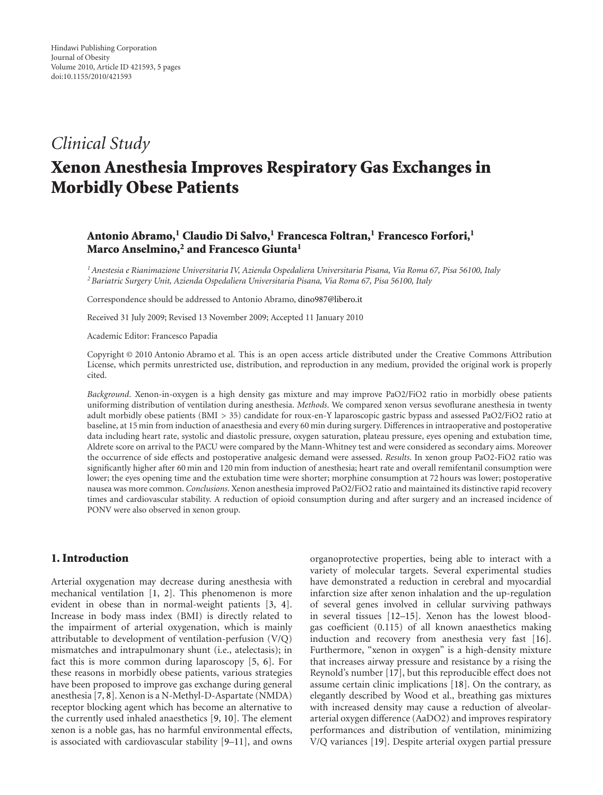# *Clinical Study*

# **Xenon Anesthesia Improves Respiratory Gas Exchanges in Morbidly Obese Patients**

# Antonio Abramo,<sup>1</sup> Claudio Di Salvo,<sup>1</sup> Francesca Foltran,<sup>1</sup> Francesco Forfori,<sup>1</sup> **Marco Anselmino,2 and Francesco Giunta1**

*1Anestesia e Rianimazione Universitaria IV, Azienda Ospedaliera Universitaria Pisana, Via Roma 67, Pisa 56100, Italy 2Bariatric Surgery Unit, Azienda Ospedaliera Universitaria Pisana, Via Roma 67, Pisa 56100, Italy*

Correspondence should be addressed to Antonio Abramo, [dino987@libero.it](mailto:dino987@libero.it)

Received 31 July 2009; Revised 13 November 2009; Accepted 11 January 2010

Academic Editor: Francesco Papadia

Copyright © 2010 Antonio Abramo et al. This is an open access article distributed under the Creative Commons Attribution License, which permits unrestricted use, distribution, and reproduction in any medium, provided the original work is properly cited.

*Background*. Xenon-in-oxygen is a high density gas mixture and may improve PaO2/FiO2 ratio in morbidly obese patients uniforming distribution of ventilation during anesthesia. *Methods*. We compared xenon versus sevoflurane anesthesia in twenty adult morbidly obese patients (BMI *>* 35) candidate for roux-en-Y laparoscopic gastric bypass and assessed PaO2/FiO2 ratio at baseline, at 15 min from induction of anaesthesia and every 60 min during surgery. Differences in intraoperative and postoperative data including heart rate, systolic and diastolic pressure, oxygen saturation, plateau pressure, eyes opening and extubation time, Aldrete score on arrival to the PACU were compared by the Mann-Whitney test and were considered as secondary aims. Moreover the occurrence of side effects and postoperative analgesic demand were assessed. *Results*. In xenon group PaO2-FiO2 ratio was significantly higher after 60 min and 120 min from induction of anesthesia; heart rate and overall remifentanil consumption were lower; the eyes opening time and the extubation time were shorter; morphine consumption at 72 hours was lower; postoperative nausea was more common. *Conclusions*. Xenon anesthesia improved PaO2/FiO2 ratio and maintained its distinctive rapid recovery times and cardiovascular stability. A reduction of opioid consumption during and after surgery and an increased incidence of PONV were also observed in xenon group.

## **1. Introduction**

Arterial oxygenation may decrease during anesthesia with mechanical ventilation [\[1](#page-3-1), [2](#page-3-2)]. This phenomenon is more evident in obese than in normal-weight patients [\[3,](#page-3-3) [4\]](#page-3-4). Increase in body mass index (BMI) is directly related to the impairment of arterial oxygenation, which is mainly attributable to development of ventilation-perfusion (V/Q) mismatches and intrapulmonary shunt (i.e., atelectasis); in fact this is more common during laparoscopy [\[5,](#page-3-5) [6\]](#page-3-6). For these reasons in morbidly obese patients, various strategies have been proposed to improve gas exchange during general anesthesia [\[7,](#page-3-7) [8\]](#page-3-8). Xenon is a N-Methyl-D-Aspartate (NMDA) receptor blocking agent which has become an alternative to the currently used inhaled anaesthetics [\[9,](#page-3-9) [10](#page-3-10)]. The element xenon is a noble gas, has no harmful environmental effects, is associated with cardiovascular stability [\[9](#page-3-9)[–11\]](#page-3-11), and owns

organoprotective properties, being able to interact with a variety of molecular targets. Several experimental studies have demonstrated a reduction in cerebral and myocardial infarction size after xenon inhalation and the up-regulation of several genes involved in cellular surviving pathways in several tissues [\[12](#page-3-12)[–15\]](#page-3-13). Xenon has the lowest bloodgas coefficient (0.115) of all known anaesthetics making induction and recovery from anesthesia very fast [\[16\]](#page-3-14). Furthermore, "xenon in oxygen" is a high-density mixture that increases airway pressure and resistance by a rising the Reynold's number [\[17\]](#page-3-15), but this reproducible effect does not assume certain clinic implications [\[18\]](#page-3-16). On the contrary, as elegantly described by Wood et al., breathing gas mixtures with increased density may cause a reduction of alveolararterial oxygen difference (AaDO2) and improves respiratory performances and distribution of ventilation, minimizing V/Q variances [\[19\]](#page-4-0). Despite arterial oxygen partial pressure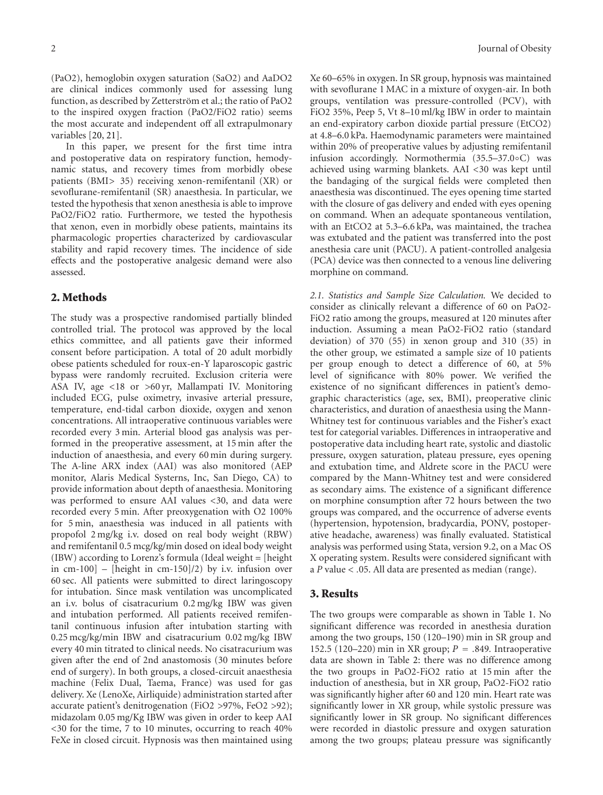(PaO2), hemoglobin oxygen saturation (SaO2) and AaDO2 are clinical indices commonly used for assessing lung function, as described by Zetterström et al.; the ratio of PaO2 to the inspired oxygen fraction (PaO2/FiO2 ratio) seems the most accurate and independent off all extrapulmonary variables [\[20](#page-4-1), [21\]](#page-4-2).

In this paper, we present for the first time intra and postoperative data on respiratory function, hemodynamic status, and recovery times from morbidly obese patients (BMI*>* 35) receiving xenon-remifentanil (XR) or sevoflurane-remifentanil (SR) anaesthesia. In particular, we tested the hypothesis that xenon anesthesia is able to improve PaO2/FiO2 ratio. Furthermore, we tested the hypothesis that xenon, even in morbidly obese patients, maintains its pharmacologic properties characterized by cardiovascular stability and rapid recovery times. The incidence of side effects and the postoperative analgesic demand were also assessed.

### **2. Methods**

The study was a prospective randomised partially blinded controlled trial. The protocol was approved by the local ethics committee, and all patients gave their informed consent before participation. A total of 20 adult morbidly obese patients scheduled for roux-en-Y laparoscopic gastric bypass were randomly recruited. Exclusion criteria were ASA IV, age *<*18 or *>*60 yr, Mallampati IV. Monitoring included ECG, pulse oximetry, invasive arterial pressure, temperature, end-tidal carbon dioxide, oxygen and xenon concentrations. All intraoperative continuous variables were recorded every 3 min. Arterial blood gas analysis was performed in the preoperative assessment, at 15 min after the induction of anaesthesia, and every 60 min during surgery. The A-line ARX index (AAI) was also monitored (AEP monitor, Alaris Medical Systerns, Inc, San Diego, CA) to provide information about depth of anaesthesia. Monitoring was performed to ensure AAI values *<*30, and data were recorded every 5 min. After preoxygenation with O2 100% for 5 min, anaesthesia was induced in all patients with propofol 2 mg/kg i.v. dosed on real body weight (RBW) and remifentanil 0.5 mcg/kg/min dosed on ideal body weight (IBW) according to Lorenz's formula (Ideal weight = [height in  $cm-100$ ] – [height in  $cm-150$ ]/2) by i.v. infusion over 60 sec. All patients were submitted to direct laringoscopy for intubation. Since mask ventilation was uncomplicated an i.v. bolus of cisatracurium 0.2 mg/kg IBW was given and intubation performed. All patients received remifentanil continuous infusion after intubation starting with 0.25 mcg/kg/min IBW and cisatracurium 0.02 mg/kg IBW every 40 min titrated to clinical needs. No cisatracurium was given after the end of 2nd anastomosis (30 minutes before end of surgery). In both groups, a closed-circuit anaesthesia machine (Felix Dual, Taema, France) was used for gas delivery. Xe (LenoXe, Airliquide) administration started after accurate patient's denitrogenation (FiO2 *>*97%, FeO2 *>*92); midazolam 0.05 mg/Kg IBW was given in order to keep AAI *<*30 for the time, 7 to 10 minutes, occurring to reach 40% FeXe in closed circuit. Hypnosis was then maintained using

Xe 60–65% in oxygen. In SR group, hypnosis was maintained with sevoflurane 1 MAC in a mixture of oxygen-air. In both groups, ventilation was pressure-controlled (PCV), with FiO2 35%, Peep 5, Vt 8–10 ml/kg IBW in order to maintain an end-expiratory carbon dioxide partial pressure (EtCO2) at 4.8–6.0 kPa. Haemodynamic parameters were maintained within 20% of preoperative values by adjusting remifentanil infusion accordingly. Normothermia (35.5–37.0◦C) was achieved using warming blankets. AAI *<*30 was kept until the bandaging of the surgical fields were completed then anaesthesia was discontinued. The eyes opening time started with the closure of gas delivery and ended with eyes opening on command. When an adequate spontaneous ventilation, with an EtCO2 at 5.3–6.6 kPa, was maintained, the trachea was extubated and the patient was transferred into the post anesthesia care unit (PACU). A patient-controlled analgesia (PCA) device was then connected to a venous line delivering morphine on command.

*2.1. Statistics and Sample Size Calculation.* We decided to consider as clinically relevant a difference of 60 on PaO2- FiO2 ratio among the groups, measured at 120 minutes after induction. Assuming a mean PaO2-FiO2 ratio (standard deviation) of 370 (55) in xenon group and 310 (35) in the other group, we estimated a sample size of 10 patients per group enough to detect a difference of 60, at 5% level of significance with 80% power. We verified the existence of no significant differences in patient's demographic characteristics (age, sex, BMI), preoperative clinic characteristics, and duration of anaesthesia using the Mann-Whitney test for continuous variables and the Fisher's exact test for categorial variables. Differences in intraoperative and postoperative data including heart rate, systolic and diastolic pressure, oxygen saturation, plateau pressure, eyes opening and extubation time, and Aldrete score in the PACU were compared by the Mann-Whitney test and were considered as secondary aims. The existence of a significant difference on morphine consumption after 72 hours between the two groups was compared, and the occurrence of adverse events (hypertension, hypotension, bradycardia, PONV, postoperative headache, awareness) was finally evaluated. Statistical analysis was performed using Stata, version 9.2, on a Mac OS X operating system. Results were considered significant with a *P* value *< .*05. All data are presented as median (range).

#### **3. Results**

The two groups were comparable as shown in Table [1.](#page-2-0) No significant difference was recorded in anesthesia duration among the two groups, 150 (120–190) min in SR group and 152.5 (120–220) min in XR group; *<sup>P</sup>* <sup>=</sup> *.*849*.* Intraoperative data are shown in Table [2:](#page-2-1) there was no difference among the two groups in PaO2-FiO2 ratio at 15 min after the induction of anesthesia, but in XR group, PaO2-FiO2 ratio was significantly higher after 60 and 120 min. Heart rate was significantly lower in XR group, while systolic pressure was significantly lower in SR group. No significant differences were recorded in diastolic pressure and oxygen saturation among the two groups; plateau pressure was significantly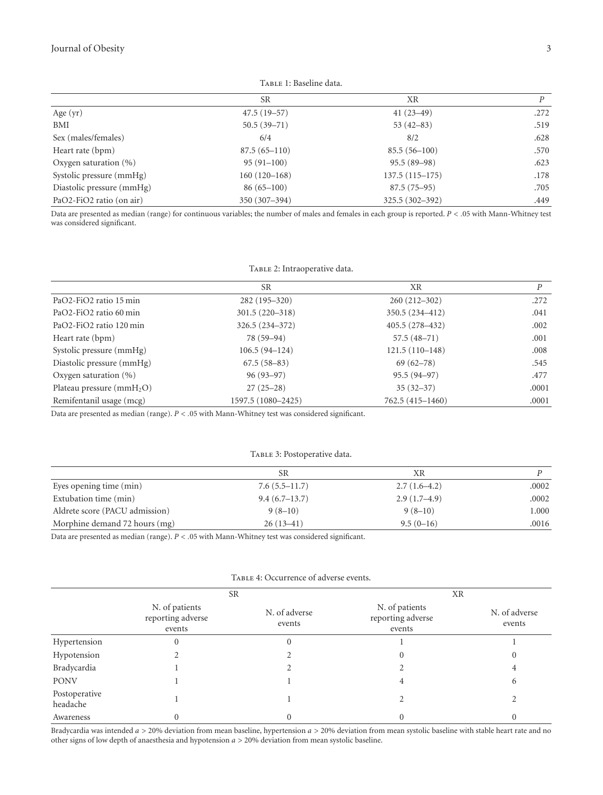<span id="page-2-0"></span>TABLE 1: Baseline data.

|                           | <b>SR</b>        | XR                 | D    |
|---------------------------|------------------|--------------------|------|
| Age (yr)                  | $47.5(19-57)$    | $41(23-49)$        | .272 |
| BMI                       | $50.5(39 - 71)$  | $53(42-83)$        | .519 |
| Sex (males/females)       | 6/4              | 8/2                | .628 |
| Heart rate (bpm)          | $87.5(65 - 110)$ | $85.5(56-100)$     | .570 |
| Oxygen saturation $(\% )$ | $95(91-100)$     | $95.5(89-98)$      | .623 |
| Systolic pressure (mmHg)  | 160 (120-168)    | $137.5(115 - 175)$ | .178 |
| Diastolic pressure (mmHg) | $86(65-100)$     | $87.5(75-95)$      | .705 |
| PaO2-FiO2 ratio (on air)  | 350 (307-394)    | 325.5 (302-392)    | .449 |

Data are presented as median (range) for continuous variables; the number of males and females in each group is reported. *P<.*05 with Mann-Whitney test was considered significant.

<span id="page-2-1"></span>

| TABLE 2: Intraoperative data. |  |
|-------------------------------|--|
|                               |  |

|                            | <b>SR</b>          | XR                 | D     |
|----------------------------|--------------------|--------------------|-------|
| PaO2-FiO2 ratio 15 min     | 282 (195-320)      | $260(212 - 302)$   | .272  |
| PaO2-FiO2 ratio 60 min     | $301.5(220-318)$   | 350.5 (234-412)    | .041  |
| PaO2-FiO2 ratio 120 min    | $326.5(234-372)$   | $405.5(278 - 432)$ | .002  |
| Heart rate (bpm)           | 78 (59-94)         | $57.5(48-71)$      | .001  |
| Systolic pressure (mmHg)   | $106.5(94-124)$    | $121.5(110-148)$   | .008  |
| Diastolic pressure (mmHg)  | $67.5(58-83)$      | $69(62 - 78)$      | .545  |
| Oxygen saturation $(\% )$  | $96(93-97)$        | $95.5(94-97)$      | .477  |
| Plateau pressure $(mmH2O)$ | $27(25-28)$        | $35(32-37)$        | .0001 |
| Remifentanil usage (mcg)   | 1597.5 (1080-2425) | 762.5 (415-1460)   | .0001 |

Data are presented as median (range). *P<.*05 with Mann-Whitney test was considered significant.

<span id="page-2-2"></span>TABLE 3: Postoperative data.

| <b>SR</b>       | ΧR             |       |
|-----------------|----------------|-------|
| $7.6(5.5-11.7)$ | $2.7(1.6-4.2)$ | .0002 |
| $9.4(6.7-13.7)$ | $2.9(1.7-4.9)$ | .0002 |
| $9(8-10)$       | $9(8-10)$      | 1.000 |
| $26(13-41)$     | $9.5(0-16)$    | .0016 |
|                 |                |       |

Data are presented as median (range). *P<.*05 with Mann-Whitney test was considered significant.

|                           | <b>SR</b>                                     |                         | XR                                            |                         |
|---------------------------|-----------------------------------------------|-------------------------|-----------------------------------------------|-------------------------|
|                           | N. of patients<br>reporting adverse<br>events | N. of adverse<br>events | N. of patients<br>reporting adverse<br>events | N. of adverse<br>events |
| Hypertension              | $\mathbf{0}$                                  | 0                       |                                               |                         |
| Hypotension               |                                               |                         |                                               | 0                       |
| Bradycardia               |                                               |                         |                                               |                         |
| <b>PONV</b>               |                                               |                         | 4                                             | 6                       |
| Postoperative<br>headache |                                               |                         |                                               |                         |
| Awareness                 |                                               |                         |                                               |                         |

#### <span id="page-2-3"></span>Table 4: Occurrence of adverse events.

Bradycardia was intended *a >* 20% deviation from mean baseline, hypertension *a >* 20% deviation from mean systolic baseline with stable heart rate and no other signs of low depth of anaesthesia and hypotension *a >* 20% deviation from mean systolic baseline.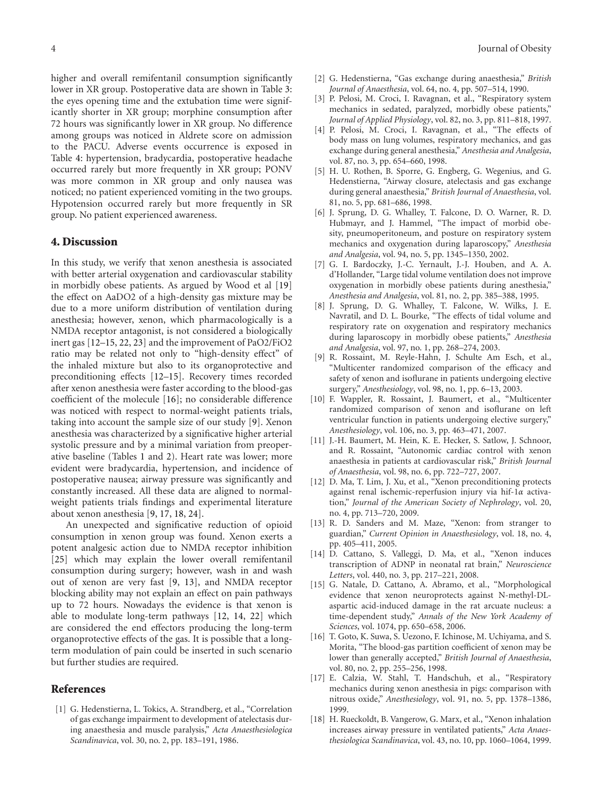higher and overall remifentanil consumption significantly lower in XR group. Postoperative data are shown in Table [3:](#page-2-2) the eyes opening time and the extubation time were significantly shorter in XR group; morphine consumption after 72 hours was significantly lower in XR group. No difference among groups was noticed in Aldrete score on admission to the PACU. Adverse events occurrence is exposed in Table [4:](#page-2-3) hypertension, bradycardia, postoperative headache occurred rarely but more frequently in XR group; PONV was more common in XR group and only nausea was noticed; no patient experienced vomiting in the two groups. Hypotension occurred rarely but more frequently in SR group. No patient experienced awareness.

#### **4. Discussion**

In this study, we verify that xenon anesthesia is associated with better arterial oxygenation and cardiovascular stability in morbidly obese patients. As argued by Wood et al [\[19](#page-4-0)] the effect on AaDO2 of a high-density gas mixture may be due to a more uniform distribution of ventilation during anesthesia; however, xenon, which pharmacologically is a NMDA receptor antagonist, is not considered a biologically inert gas [\[12](#page-3-12)[–15](#page-3-13), [22](#page-4-3), [23](#page-4-4)] and the improvement of PaO2/FiO2 ratio may be related not only to "high-density effect" of the inhaled mixture but also to its organoprotective and preconditioning effects [\[12](#page-3-12)[–15](#page-3-13)]. Recovery times recorded after xenon anesthesia were faster according to the blood-gas coefficient of the molecule [\[16](#page-3-14)]; no considerable difference was noticed with respect to normal-weight patients trials, taking into account the sample size of our study [\[9\]](#page-3-9). Xenon anesthesia was characterized by a significative higher arterial systolic pressure and by a minimal variation from preoperative baseline (Tables [1](#page-2-0) and [2\)](#page-2-1). Heart rate was lower; more evident were bradycardia, hypertension, and incidence of postoperative nausea; airway pressure was significantly and constantly increased. All these data are aligned to normalweight patients trials findings and experimental literature about xenon anesthesia [\[9](#page-3-9), [17,](#page-3-15) [18,](#page-3-16) [24](#page-4-5)].

An unexpected and significative reduction of opioid consumption in xenon group was found. Xenon exerts a potent analgesic action due to NMDA receptor inhibition [\[25\]](#page-4-6) which may explain the lower overall remifentanil consumption during surgery; however, wash in and wash out of xenon are very fast [\[9](#page-3-9), [13](#page-3-17)], and NMDA receptor blocking ability may not explain an effect on pain pathways up to 72 hours. Nowadays the evidence is that xenon is able to modulate long-term pathways [\[12,](#page-3-12) [14](#page-3-18), [22\]](#page-4-3) which are considered the end effectors producing the long-term organoprotective effects of the gas. It is possible that a longterm modulation of pain could be inserted in such scenario but further studies are required.

#### <span id="page-3-0"></span>**References**

<span id="page-3-1"></span>[1] G. Hedenstierna, L. Tokics, A. Strandberg, et al., "Correlation of gas exchange impairment to development of atelectasis during anaesthesia and muscle paralysis," *Acta Anaesthesiologica Scandinavica*, vol. 30, no. 2, pp. 183–191, 1986.

- <span id="page-3-2"></span>[2] G. Hedenstierna, "Gas exchange during anaesthesia," *British Journal of Anaesthesia*, vol. 64, no. 4, pp. 507–514, 1990.
- <span id="page-3-3"></span>[3] P. Pelosi, M. Croci, I. Ravagnan, et al., "Respiratory system mechanics in sedated, paralyzed, morbidly obese patients," *Journal of Applied Physiology*, vol. 82, no. 3, pp. 811–818, 1997.
- <span id="page-3-4"></span>[4] P. Pelosi, M. Croci, I. Ravagnan, et al., "The effects of body mass on lung volumes, respiratory mechanics, and gas exchange during general anesthesia," *Anesthesia and Analgesia*, vol. 87, no. 3, pp. 654–660, 1998.
- <span id="page-3-5"></span>[5] H. U. Rothen, B. Sporre, G. Engberg, G. Wegenius, and G. Hedenstierna, "Airway closure, atelectasis and gas exchange during general anaesthesia," *British Journal of Anaesthesia*, vol. 81, no. 5, pp. 681–686, 1998.
- <span id="page-3-6"></span>[6] J. Sprung, D. G. Whalley, T. Falcone, D. O. Warner, R. D. Hubmayr, and J. Hammel, "The impact of morbid obesity, pneumoperitoneum, and posture on respiratory system mechanics and oxygenation during laparoscopy," *Anesthesia and Analgesia*, vol. 94, no. 5, pp. 1345–1350, 2002.
- <span id="page-3-7"></span>[7] G. I. Bardoczky, J.-C. Yernault, J.-J. Houben, and A. A. d'Hollander, "Large tidal volume ventilation does not improve oxygenation in morbidly obese patients during anesthesia," *Anesthesia and Analgesia*, vol. 81, no. 2, pp. 385–388, 1995.
- <span id="page-3-8"></span>[8] J. Sprung, D. G. Whalley, T. Falcone, W. Wilks, J. E. Navratil, and D. L. Bourke, "The effects of tidal volume and respiratory rate on oxygenation and respiratory mechanics during laparoscopy in morbidly obese patients," *Anesthesia and Analgesia*, vol. 97, no. 1, pp. 268–274, 2003.
- <span id="page-3-9"></span>[9] R. Rossaint, M. Reyle-Hahn, J. Schulte Am Esch, et al., "Multicenter randomized comparison of the efficacy and safety of xenon and isoflurane in patients undergoing elective surgery," *Anesthesiology*, vol. 98, no. 1, pp. 6–13, 2003.
- <span id="page-3-10"></span>[10] F. Wappler, R. Rossaint, J. Baumert, et al., "Multicenter randomized comparison of xenon and isoflurane on left ventricular function in patients undergoing elective surgery," *Anesthesiology*, vol. 106, no. 3, pp. 463–471, 2007.
- <span id="page-3-11"></span>[11] J.-H. Baumert, M. Hein, K. E. Hecker, S. Satlow, J. Schnoor, and R. Rossaint, "Autonomic cardiac control with xenon anaesthesia in patients at cardiovascular risk," *British Journal of Anaesthesia*, vol. 98, no. 6, pp. 722–727, 2007.
- <span id="page-3-12"></span>[12] D. Ma, T. Lim, J. Xu, et al., "Xenon preconditioning protects against renal ischemic-reperfusion injury via hif-1*α* activation," *Journal of the American Society of Nephrology*, vol. 20, no. 4, pp. 713–720, 2009.
- <span id="page-3-17"></span>[13] R. D. Sanders and M. Maze, "Xenon: from stranger to guardian," *Current Opinion in Anaesthesiology*, vol. 18, no. 4, pp. 405–411, 2005.
- <span id="page-3-18"></span>[14] D. Cattano, S. Valleggi, D. Ma, et al., "Xenon induces transcription of ADNP in neonatal rat brain," *Neuroscience Letters*, vol. 440, no. 3, pp. 217–221, 2008.
- <span id="page-3-13"></span>[15] G. Natale, D. Cattano, A. Abramo, et al., "Morphological evidence that xenon neuroprotects against N-methyl-DLaspartic acid-induced damage in the rat arcuate nucleus: a time-dependent study," *Annals of the New York Academy of Sciences*, vol. 1074, pp. 650–658, 2006.
- <span id="page-3-14"></span>[16] T. Goto, K. Suwa, S. Uezono, F. Ichinose, M. Uchiyama, and S. Morita, "The blood-gas partition coefficient of xenon may be lower than generally accepted," *British Journal of Anaesthesia*, vol. 80, no. 2, pp. 255–256, 1998.
- <span id="page-3-15"></span>[17] E. Calzia, W. Stahl, T. Handschuh, et al., "Respiratory mechanics during xenon anesthesia in pigs: comparison with nitrous oxide," *Anesthesiology*, vol. 91, no. 5, pp. 1378–1386, 1999.
- <span id="page-3-16"></span>[18] H. Rueckoldt, B. Vangerow, G. Marx, et al., "Xenon inhalation increases airway pressure in ventilated patients," *Acta Anaesthesiologica Scandinavica*, vol. 43, no. 10, pp. 1060–1064, 1999.